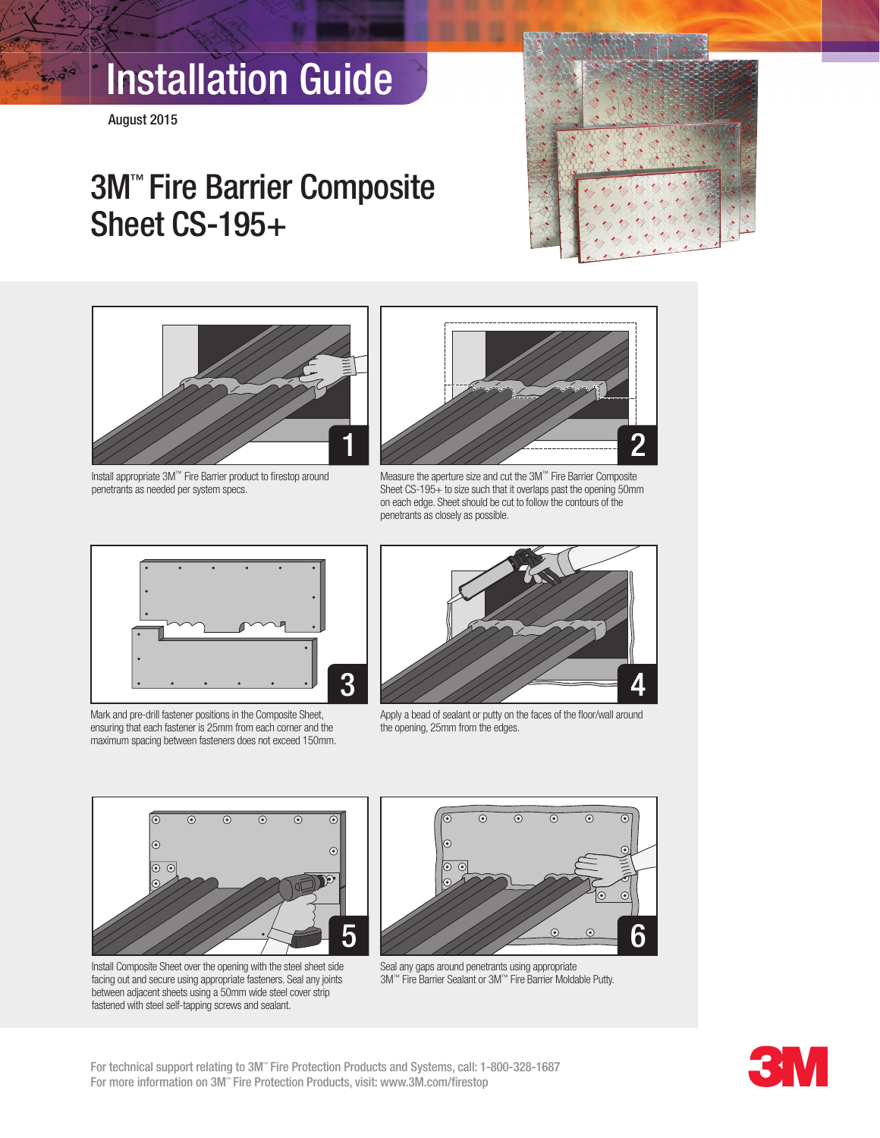# Installation Guide

August 2015

**KOL919** 

### 3M™ Fire Barrier Composite Sheet CS-195+





Install appropriate 3M™ Fire Barrier product to firestop around penetrants as needed per system specs.



Measure the aperture size and cut the 3M™ Fire Barrier Composite Sheet CS-195+ to size such that it overlaps past the opening 50mm on each edge. Sheet should be cut to follow the contours of the penetrants as closely as possible.



Mark and pre-drill fastener positions in the Composite Sheet, ensuring that each fastener is 25mm from each corner and the maximum spacing between fasteners does not exceed 150mm.



Apply a bead of sealant or putty on the faces of the floor/wall around the opening, 25mm from the edges.







Seal any gaps around penetrants using appropriate 3M™ Fire Barrier Sealant or 3M™ Fire Barrier Moldable Putty.